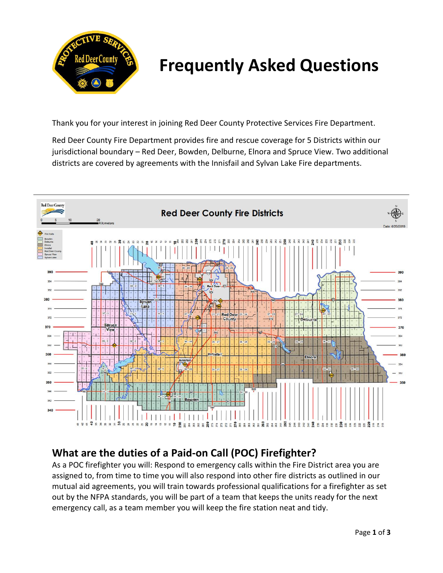

# **Frequently Asked Questions**

Thank you for your interest in joining Red Deer County Protective Services Fire Department.

Red Deer County Fire Department provides fire and rescue coverage for 5 Districts within our jurisdictional boundary – Red Deer, Bowden, Delburne, Elnora and Spruce View. Two additional districts are covered by agreements with the Innisfail and Sylvan Lake Fire departments.



## **What are the duties of a Paid-on Call (POC) Firefighter?**

As a POC firefighter you will: Respond to emergency calls within the Fire District area you are assigned to, from time to time you will also respond into other fire districts as outlined in our mutual aid agreements, you will train towards professional qualifications for a firefighter as set out by the NFPA standards, you will be part of a team that keeps the units ready for the next emergency call, as a team member you will keep the fire station neat and tidy.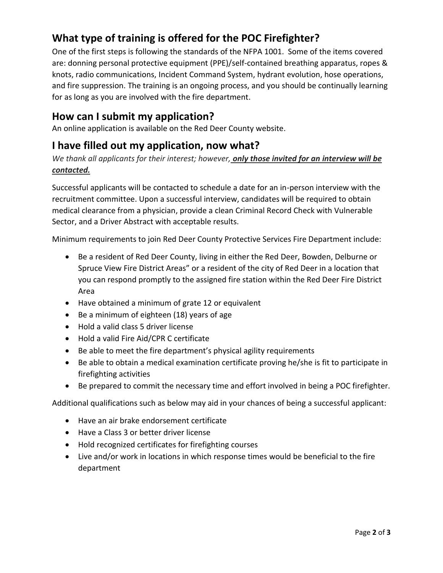# **What type of training is offered for the POC Firefighter?**

One of the first steps is following the standards of the NFPA 1001. Some of the items covered are: donning personal protective equipment (PPE)/self-contained breathing apparatus, ropes & knots, radio communications, Incident Command System, hydrant evolution, hose operations, and fire suppression. The training is an ongoing process, and you should be continually learning for as long as you are involved with the fire department.

#### **How can I submit my application?**

An online application is available on the Red Deer County website.

### **I have filled out my application, now what?**

*We thank all applicants for their interest; however, only those invited for an interview will be contacted.*

Successful applicants will be contacted to schedule a date for an in-person interview with the recruitment committee. Upon a successful interview, candidates will be required to obtain medical clearance from a physician, provide a clean Criminal Record Check with Vulnerable Sector, and a Driver Abstract with acceptable results.

Minimum requirements to join Red Deer County Protective Services Fire Department include:

- Be a resident of Red Deer County, living in either the Red Deer, Bowden, Delburne or Spruce View Fire District Areas" or a resident of the city of Red Deer in a location that you can respond promptly to the assigned fire station within the Red Deer Fire District Area
- Have obtained a minimum of grate 12 or equivalent
- Be a minimum of eighteen (18) years of age
- Hold a valid class 5 driver license
- Hold a valid Fire Aid/CPR C certificate
- Be able to meet the fire department's physical agility requirements
- Be able to obtain a medical examination certificate proving he/she is fit to participate in firefighting activities
- Be prepared to commit the necessary time and effort involved in being a POC firefighter.

Additional qualifications such as below may aid in your chances of being a successful applicant:

- Have an air brake endorsement certificate
- Have a Class 3 or better driver license
- Hold recognized certificates for firefighting courses
- Live and/or work in locations in which response times would be beneficial to the fire department